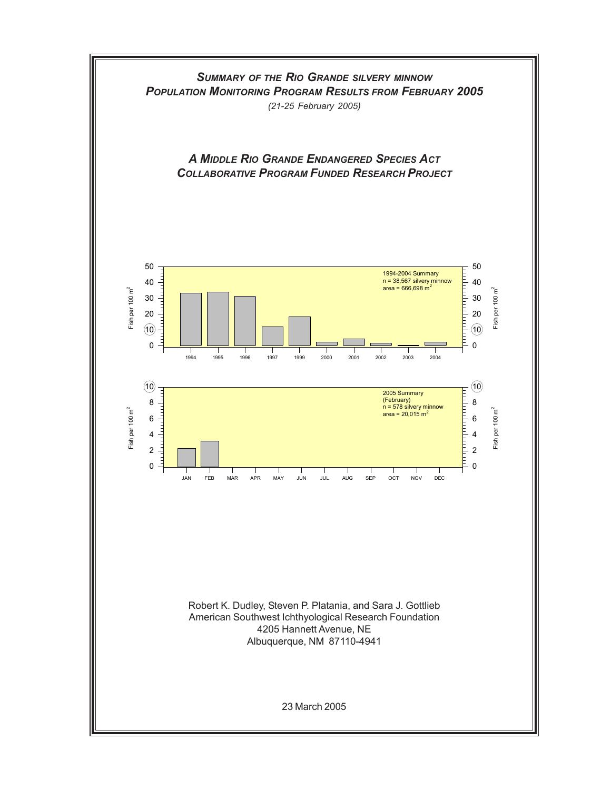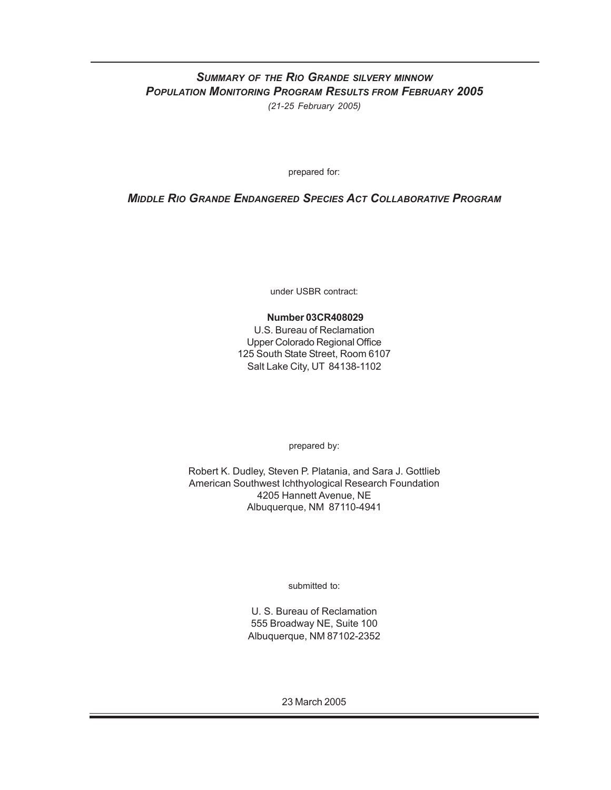## *SUMMARY OF THE RIO GRANDE SILVERY MINNOW POPULATION MONITORING PROGRAM RESULTS FROM FEBRUARY 2005 (21-25 February 2005)*

prepared for:

## *MIDDLE RIO GRANDE ENDANGERED SPECIES ACT COLLABORATIVE PROGRAM*

under USBR contract:

## **Number 03CR408029**

U.S. Bureau of Reclamation Upper Colorado Regional Office 125 South State Street, Room 6107 Salt Lake City, UT 84138-1102

prepared by:

Robert K. Dudley, Steven P. Platania, and Sara J. Gottlieb American Southwest Ichthyological Research Foundation 4205 Hannett Avenue, NE Albuquerque, NM 87110-4941

submitted to:

U. S. Bureau of Reclamation 555 Broadway NE, Suite 100 Albuquerque, NM 87102-2352

23 March 2005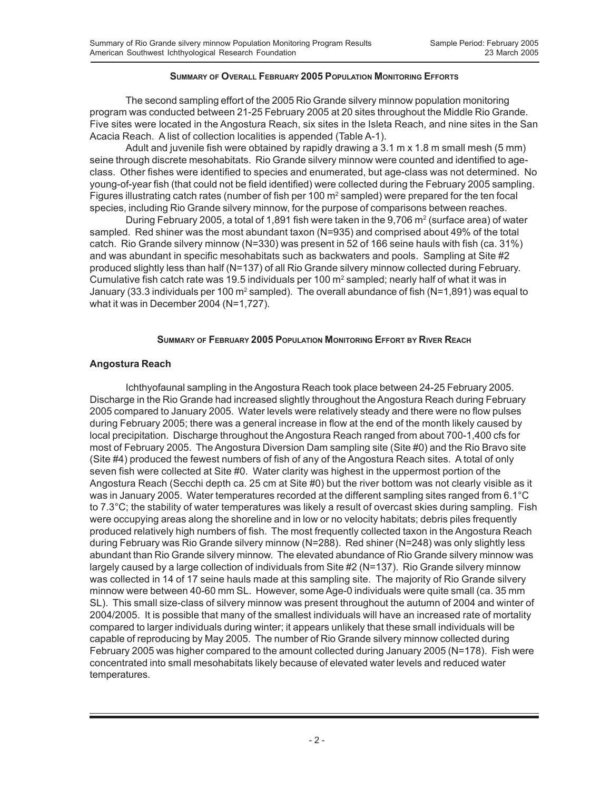#### **SUMMARY OF OVERALL FEBRUARY 2005 POPULATION MONITORING EFFORTS**

The second sampling effort of the 2005 Rio Grande silvery minnow population monitoring program was conducted between 21-25 February 2005 at 20 sites throughout the Middle Rio Grande. Five sites were located in the Angostura Reach, six sites in the Isleta Reach, and nine sites in the San Acacia Reach. A list of collection localities is appended (Table A-1).

Adult and juvenile fish were obtained by rapidly drawing a 3.1 m x 1.8 m small mesh (5 mm) seine through discrete mesohabitats. Rio Grande silvery minnow were counted and identified to ageclass. Other fishes were identified to species and enumerated, but age-class was not determined. No young-of-year fish (that could not be field identified) were collected during the February 2005 sampling. Figures illustrating catch rates (number of fish per 100 m<sup>2</sup> sampled) were prepared for the ten focal species, including Rio Grande silvery minnow, for the purpose of comparisons between reaches.

During February 2005, a total of 1,891 fish were taken in the 9,706 m<sup>2</sup> (surface area) of water sampled. Red shiner was the most abundant taxon (N=935) and comprised about 49% of the total catch. Rio Grande silvery minnow (N=330) was present in 52 of 166 seine hauls with fish (ca. 31%) and was abundant in specific mesohabitats such as backwaters and pools. Sampling at Site #2 produced slightly less than half (N=137) of all Rio Grande silvery minnow collected during February. Cumulative fish catch rate was 19.5 individuals per 100  $m<sup>2</sup>$  sampled; nearly half of what it was in January (33.3 individuals per 100 m<sup>2</sup> sampled). The overall abundance of fish (N=1,891) was equal to what it was in December 2004 (N=1,727).

### **SUMMARY OF FEBRUARY 2005 POPULATION MONITORING EFFORT BY RIVER REACH**

## **Angostura Reach**

Ichthyofaunal sampling in the Angostura Reach took place between 24-25 February 2005. Discharge in the Rio Grande had increased slightly throughout the Angostura Reach during February 2005 compared to January 2005. Water levels were relatively steady and there were no flow pulses during February 2005; there was a general increase in flow at the end of the month likely caused by local precipitation. Discharge throughout the Angostura Reach ranged from about 700-1,400 cfs for most of February 2005. The Angostura Diversion Dam sampling site (Site #0) and the Rio Bravo site (Site #4) produced the fewest numbers of fish of any of the Angostura Reach sites. A total of only seven fish were collected at Site #0. Water clarity was highest in the uppermost portion of the Angostura Reach (Secchi depth ca. 25 cm at Site #0) but the river bottom was not clearly visible as it was in January 2005. Water temperatures recorded at the different sampling sites ranged from 6.1°C to 7.3°C; the stability of water temperatures was likely a result of overcast skies during sampling. Fish were occupying areas along the shoreline and in low or no velocity habitats; debris piles frequently produced relatively high numbers of fish. The most frequently collected taxon in the Angostura Reach during February was Rio Grande silvery minnow (N=288). Red shiner (N=248) was only slightly less abundant than Rio Grande silvery minnow. The elevated abundance of Rio Grande silvery minnow was largely caused by a large collection of individuals from Site #2 (N=137). Rio Grande silvery minnow was collected in 14 of 17 seine hauls made at this sampling site. The majority of Rio Grande silvery minnow were between 40-60 mm SL. However, some Age-0 individuals were quite small (ca. 35 mm SL). This small size-class of silvery minnow was present throughout the autumn of 2004 and winter of 2004/2005. It is possible that many of the smallest individuals will have an increased rate of mortality compared to larger individuals during winter; it appears unlikely that these small individuals will be capable of reproducing by May 2005. The number of Rio Grande silvery minnow collected during February 2005 was higher compared to the amount collected during January 2005 (N=178). Fish were concentrated into small mesohabitats likely because of elevated water levels and reduced water temperatures.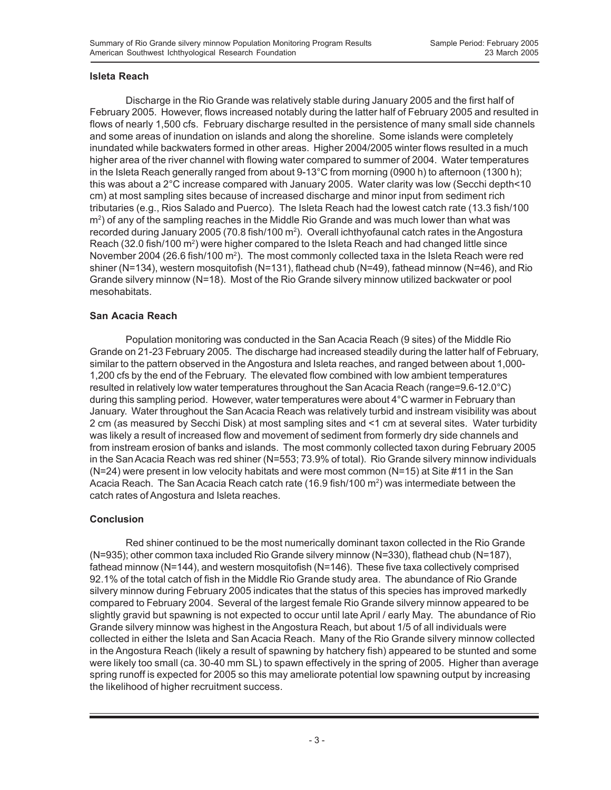## **Isleta Reach**

Discharge in the Rio Grande was relatively stable during January 2005 and the first half of February 2005. However, flows increased notably during the latter half of February 2005 and resulted in flows of nearly 1,500 cfs. February discharge resulted in the persistence of many small side channels and some areas of inundation on islands and along the shoreline. Some islands were completely inundated while backwaters formed in other areas. Higher 2004/2005 winter flows resulted in a much higher area of the river channel with flowing water compared to summer of 2004. Water temperatures in the Isleta Reach generally ranged from about 9-13°C from morning (0900 h) to afternoon (1300 h); this was about a 2°C increase compared with January 2005. Water clarity was low (Secchi depth<10 cm) at most sampling sites because of increased discharge and minor input from sediment rich tributaries (e.g., Rios Salado and Puerco). The Isleta Reach had the lowest catch rate (13.3 fish/100 m2 ) of any of the sampling reaches in the Middle Rio Grande and was much lower than what was recorded during January 2005 (70.8 fish/100 m<sup>2</sup>). Overall ichthyofaunal catch rates in the Angostura Reach (32.0 fish/100  $\text{m}^2$ ) were higher compared to the Isleta Reach and had changed little since November 2004 (26.6 fish/100 m2 ). The most commonly collected taxa in the Isleta Reach were red shiner (N=134), western mosquitofish (N=131), flathead chub (N=49), fathead minnow (N=46), and Rio Grande silvery minnow (N=18). Most of the Rio Grande silvery minnow utilized backwater or pool mesohabitats.

## **San Acacia Reach**

Population monitoring was conducted in the San Acacia Reach (9 sites) of the Middle Rio Grande on 21-23 February 2005. The discharge had increased steadily during the latter half of February, similar to the pattern observed in the Angostura and Isleta reaches, and ranged between about 1,000- 1,200 cfs by the end of the February. The elevated flow combined with low ambient temperatures resulted in relatively low water temperatures throughout the San Acacia Reach (range=9.6-12.0 $^{\circ}$ C) during this sampling period. However, water temperatures were about 4°C warmer in February than January. Water throughout the San Acacia Reach was relatively turbid and instream visibility was about 2 cm (as measured by Secchi Disk) at most sampling sites and <1 cm at several sites. Water turbidity was likely a result of increased flow and movement of sediment from formerly dry side channels and from instream erosion of banks and islands. The most commonly collected taxon during February 2005 in the San Acacia Reach was red shiner (N=553; 73.9% of total). Rio Grande silvery minnow individuals (N=24) were present in low velocity habitats and were most common (N=15) at Site #11 in the San Acacia Reach. The San Acacia Reach catch rate (16.9 fish/100 m<sup>2</sup>) was intermediate between the catch rates of Angostura and Isleta reaches.

## **Conclusion**

Red shiner continued to be the most numerically dominant taxon collected in the Rio Grande (N=935); other common taxa included Rio Grande silvery minnow (N=330), flathead chub (N=187), fathead minnow (N=144), and western mosquitofish (N=146). These five taxa collectively comprised 92.1% of the total catch of fish in the Middle Rio Grande study area. The abundance of Rio Grande silvery minnow during February 2005 indicates that the status of this species has improved markedly compared to February 2004. Several of the largest female Rio Grande silvery minnow appeared to be slightly gravid but spawning is not expected to occur until late April / early May. The abundance of Rio Grande silvery minnow was highest in the Angostura Reach, but about 1/5 of all individuals were collected in either the Isleta and San Acacia Reach. Many of the Rio Grande silvery minnow collected in the Angostura Reach (likely a result of spawning by hatchery fish) appeared to be stunted and some were likely too small (ca. 30-40 mm SL) to spawn effectively in the spring of 2005. Higher than average spring runoff is expected for 2005 so this may ameliorate potential low spawning output by increasing the likelihood of higher recruitment success.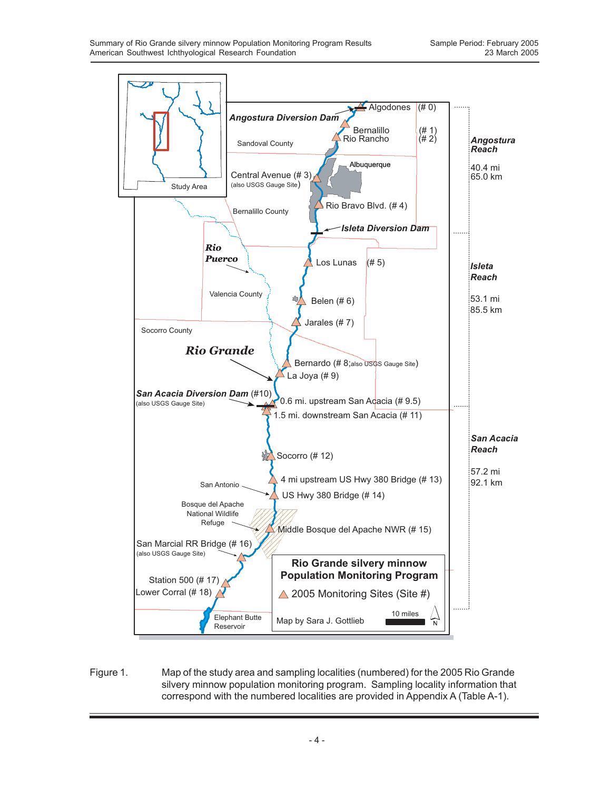

Figure 1. Map of the study area and sampling localities (numbered) for the 2005 Rio Grande silvery minnow population monitoring program. Sampling locality information that correspond with the numbered localities are provided in Appendix A (Table A-1).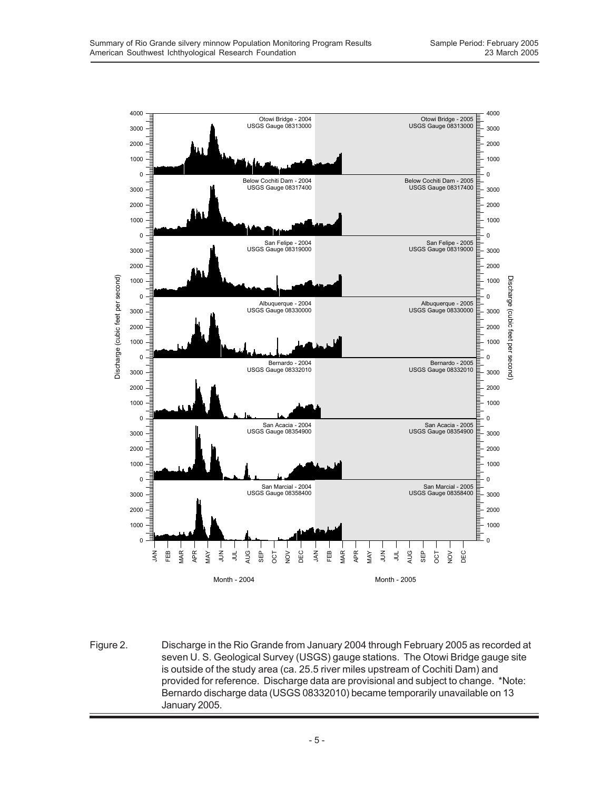

Figure 2. Discharge in the Rio Grande from January 2004 through February 2005 as recorded at seven U. S. Geological Survey (USGS) gauge stations. The Otowi Bridge gauge site is outside of the study area (ca. 25.5 river miles upstream of Cochiti Dam) and provided for reference. Discharge data are provisional and subject to change. \*Note: Bernardo discharge data (USGS 08332010) became temporarily unavailable on 13 January 2005.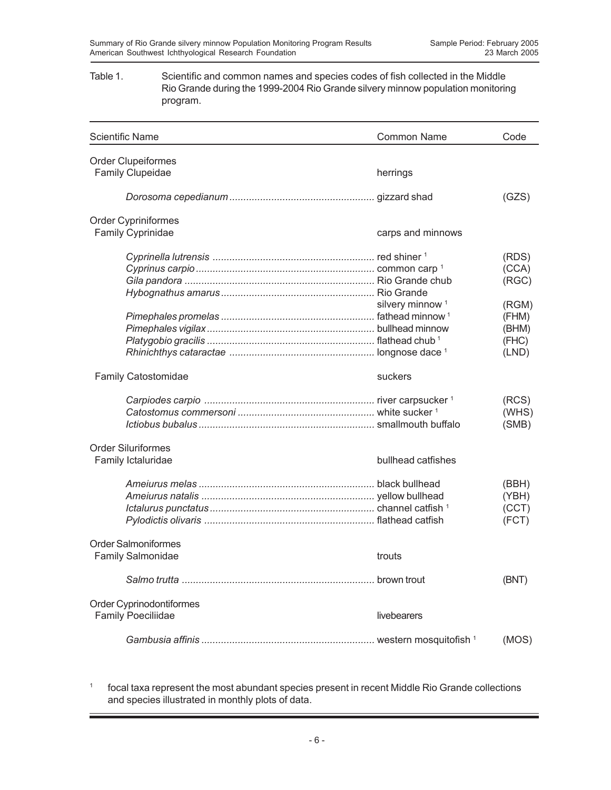#### Table 1. Scientific and common names and species codes of fish collected in the Middle Rio Grande during the 1999-2004 Rio Grande silvery minnow population monitoring program.

| <b>Scientific Name</b>                                 | <b>Common Name</b>          | Code                                      |
|--------------------------------------------------------|-----------------------------|-------------------------------------------|
| <b>Order Clupeiformes</b>                              |                             |                                           |
| Family Clupeidae                                       | herrings                    |                                           |
|                                                        |                             | (GZS)                                     |
| Order Cypriniformes                                    |                             |                                           |
| <b>Family Cyprinidae</b>                               | carps and minnows           |                                           |
|                                                        |                             | (RDS)<br>(CCA)<br>(RGC)                   |
|                                                        | silvery minnow <sup>1</sup> | (RGM)<br>(FHM)<br>(BHM)<br>(FHC)<br>(LND) |
| <b>Family Catostomidae</b>                             | suckers                     |                                           |
|                                                        |                             | (RCS)<br>(WHS)<br>(SMB)                   |
| <b>Order Siluriformes</b><br>Family Ictaluridae        | bullhead catfishes          |                                           |
|                                                        |                             | (BBH)<br>(YBH)<br>(CCT)<br>(FCT)          |
| <b>Order Salmoniformes</b><br><b>Family Salmonidae</b> | trouts                      |                                           |
|                                                        |                             | (BNT)                                     |
| Order Cyprinodontiformes<br><b>Family Poeciliidae</b>  | livebearers                 |                                           |
|                                                        |                             | (MOS)                                     |

<sup>1</sup> focal taxa represent the most abundant species present in recent Middle Rio Grande collections and species illustrated in monthly plots of data.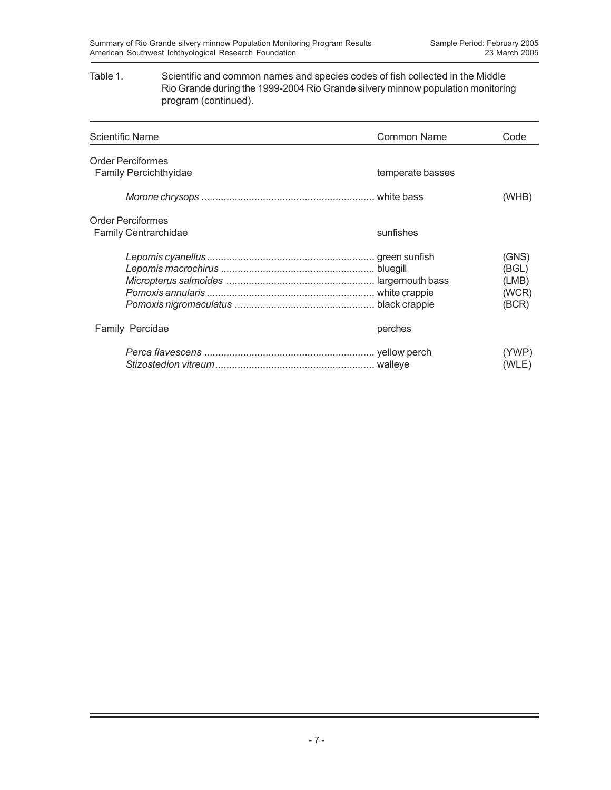### Table 1. Scientific and common names and species codes of fish collected in the Middle Rio Grande during the 1999-2004 Rio Grande silvery minnow population monitoring program (continued).

| Scientific Name                                         | <b>Common Name</b> | Code                                      |
|---------------------------------------------------------|--------------------|-------------------------------------------|
| <b>Order Perciformes</b><br>Family Percichthyidae       | temperate basses   |                                           |
|                                                         |                    | (WHB)                                     |
| <b>Order Perciformes</b><br><b>Family Centrarchidae</b> | sunfishes          |                                           |
|                                                         |                    | (GNS)<br>(BGL)<br>(LMB)<br>(WCR)<br>(BCR) |
| Family Percidae                                         | perches            |                                           |
|                                                         |                    | (YWP)<br>(WLE)                            |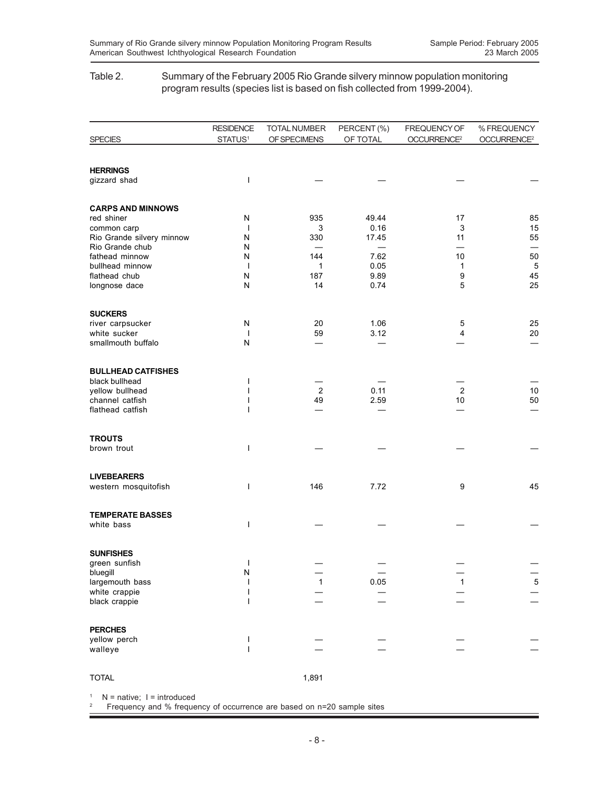#### Table 2. Summary of the February 2005 Rio Grande silvery minnow population monitoring program results (species list is based on fish collected from 1999-2004).

|                                              | <b>RESIDENCE</b>    | <b>TOTAL NUMBER</b> | PERCENT (%) | FREQUENCY OF            | % FREQUENCY             |
|----------------------------------------------|---------------------|---------------------|-------------|-------------------------|-------------------------|
| <b>SPECIES</b>                               | STATUS <sup>1</sup> | OF SPECIMENS        | OF TOTAL    | OCCURRENCE <sup>2</sup> | OCCURRENCE <sup>2</sup> |
|                                              |                     |                     |             |                         |                         |
| <b>HERRINGS</b>                              | I                   |                     |             |                         |                         |
| gizzard shad                                 |                     |                     |             |                         |                         |
| <b>CARPS AND MINNOWS</b>                     |                     |                     |             |                         |                         |
| red shiner                                   | N                   | 935                 | 49.44       | 17                      | 85                      |
| common carp                                  | J.                  | 3                   | 0.16        | 3                       | 15                      |
| Rio Grande silvery minnow<br>Rio Grande chub | Ν<br>N              | 330                 | 17.45       | 11                      | 55                      |
| fathead minnow                               | Ν                   | 144                 | 7.62        | 10                      | 50                      |
| bullhead minnow                              | $\mathbf{I}$        | 1                   | 0.05        | 1                       | $\overline{5}$          |
| flathead chub                                | N                   | 187                 | 9.89        | 9                       | 45                      |
| longnose dace                                | ${\sf N}$           | 14                  | 0.74        | 5                       | 25                      |
| <b>SUCKERS</b>                               |                     |                     |             |                         |                         |
| river carpsucker                             | Ν                   | 20                  | 1.06        | 5                       | 25                      |
| white sucker                                 | $\mathbf{I}$        | 59                  | 3.12        | 4                       | 20                      |
| smallmouth buffalo                           | N                   |                     |             |                         |                         |
| <b>BULLHEAD CATFISHES</b>                    |                     |                     |             |                         |                         |
| black bullhead                               | ı                   |                     |             |                         |                         |
| yellow bullhead                              |                     | $\overline{2}$      | 0.11        | $\overline{2}$          | $10$                    |
| channel catfish                              |                     | 49                  | 2.59        | 10                      | 50                      |
| flathead catfish                             |                     |                     |             |                         |                         |
| <b>TROUTS</b>                                |                     |                     |             |                         |                         |
| brown trout                                  | ı                   |                     |             |                         |                         |
|                                              |                     |                     |             |                         |                         |
| <b>LIVEBEARERS</b>                           |                     |                     |             |                         |                         |
| western mosquitofish                         | ı                   | 146                 | 7.72        | 9                       | 45                      |
| <b>TEMPERATE BASSES</b>                      |                     |                     |             |                         |                         |
| white bass                                   | ı                   |                     |             |                         |                         |
|                                              |                     |                     |             |                         |                         |
| <b>SUNFISHES</b>                             |                     |                     |             |                         |                         |
| green sunfish                                | I                   |                     |             |                         |                         |
| bluegill<br>largemouth bass                  | N                   |                     | 0.05        | 1                       | $\overline{5}$          |
| white crappie                                | ı                   |                     |             |                         |                         |
| black crappie                                | I                   |                     |             |                         |                         |
|                                              |                     |                     |             |                         |                         |
| <b>PERCHES</b><br>yellow perch               |                     |                     |             |                         |                         |
| walleye                                      | ı                   |                     |             |                         |                         |
|                                              |                     |                     |             |                         |                         |
| <b>TOTAL</b>                                 |                     | 1,891               |             |                         |                         |

 $1$  N = native; I = introduced

2 Frequency and % frequency of occurrence are based on n=20 sample sites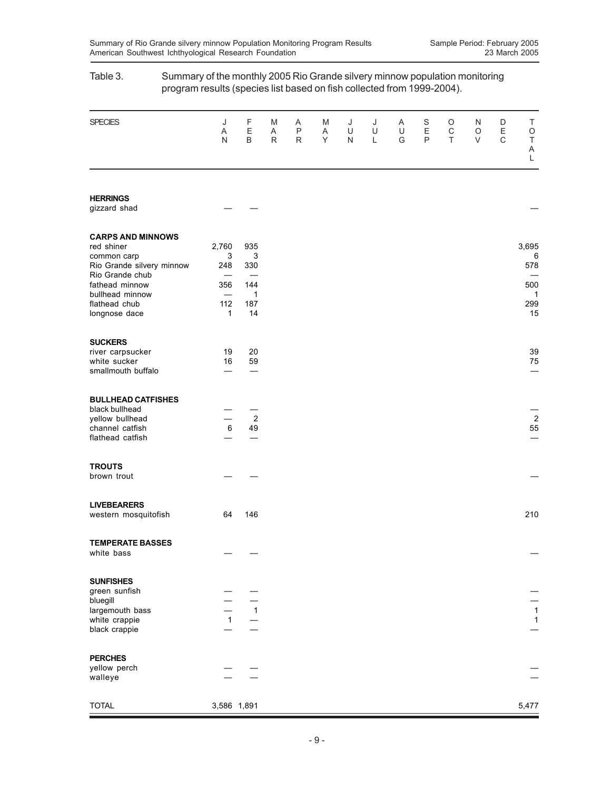|                                                                                                                                                                              | program results (species list based on fish collected from 1999-2004).      |                                                    |             |                        |             |             |             |             |                                  |                       |             |                       |                                                       |
|------------------------------------------------------------------------------------------------------------------------------------------------------------------------------|-----------------------------------------------------------------------------|----------------------------------------------------|-------------|------------------------|-------------|-------------|-------------|-------------|----------------------------------|-----------------------|-------------|-----------------------|-------------------------------------------------------|
| <b>SPECIES</b>                                                                                                                                                               | J<br>Α<br>N                                                                 | F<br>Ε<br>$\sf B$                                  | M<br>Α<br>R | Α<br>$\mathsf{P}$<br>R | M<br>Α<br>Y | J<br>U<br>N | J<br>U<br>L | Α<br>U<br>G | S<br>$\mathsf E$<br>$\mathsf{P}$ | O<br>$\mathsf C$<br>T | N<br>O<br>V | D<br>Ε<br>$\mathsf C$ | Τ<br>$\bigcirc$<br>$\sf T$<br>A<br>L                  |
| <b>HERRINGS</b><br>gizzard shad                                                                                                                                              |                                                                             |                                                    |             |                        |             |             |             |             |                                  |                       |             |                       |                                                       |
| <b>CARPS AND MINNOWS</b><br>red shiner<br>common carp<br>Rio Grande silvery minnow<br>Rio Grande chub<br>fathead minnow<br>bullhead minnow<br>flathead chub<br>longnose dace | 2,760<br>3<br>248<br>356<br>$\overline{\phantom{0}}$<br>112<br>$\mathbf{1}$ | 935<br>3<br>330<br>144<br>$\mathbf 1$<br>187<br>14 |             |                        |             |             |             |             |                                  |                       |             |                       | 3,695<br>6<br>578<br>500<br>$\mathbf{1}$<br>299<br>15 |
| <b>SUCKERS</b><br>river carpsucker<br>white sucker<br>smallmouth buffalo                                                                                                     | 19<br>16                                                                    | 20<br>59                                           |             |                        |             |             |             |             |                                  |                       |             |                       | 39<br>75                                              |
| <b>BULLHEAD CATFISHES</b><br>black bullhead<br>yellow bullhead<br>channel catfish<br>flathead catfish                                                                        | $\,6\,$                                                                     | $\overline{2}$<br>49                               |             |                        |             |             |             |             |                                  |                       |             |                       | $\overline{c}$<br>55                                  |
| <b>TROUTS</b><br>brown trout                                                                                                                                                 |                                                                             |                                                    |             |                        |             |             |             |             |                                  |                       |             |                       |                                                       |
| <b>LIVEBEARERS</b><br>western mosquitofish                                                                                                                                   | 64                                                                          | 146                                                |             |                        |             |             |             |             |                                  |                       |             |                       | 210                                                   |
| <b>TEMPERATE BASSES</b><br>white bass                                                                                                                                        |                                                                             |                                                    |             |                        |             |             |             |             |                                  |                       |             |                       |                                                       |
| <b>SUNFISHES</b><br>green sunfish<br>bluegill<br>largemouth bass<br>white crappie<br>black crappie                                                                           | $\mathbf{1}$                                                                | $\overline{1}$                                     |             |                        |             |             |             |             |                                  |                       |             |                       | $\mathbf{1}$<br>$\overline{1}$                        |
| <b>PERCHES</b><br>yellow perch<br>walleye                                                                                                                                    |                                                                             |                                                    |             |                        |             |             |             |             |                                  |                       |             |                       |                                                       |
| <b>TOTAL</b>                                                                                                                                                                 | 3,586 1,891                                                                 |                                                    |             |                        |             |             |             |             |                                  |                       |             |                       | 5,477                                                 |

# Table 3. Summary of the monthly 2005 Rio Grande silvery minnow population monitoring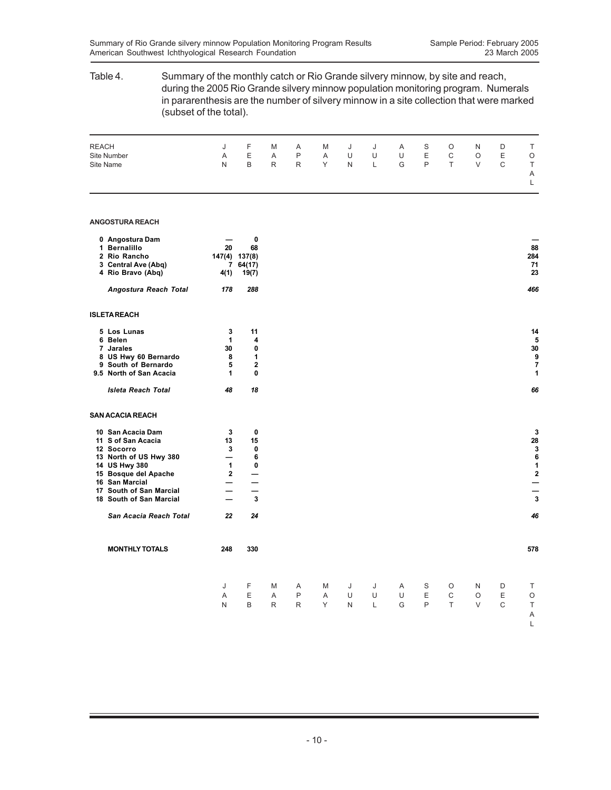## Table 4. Summary of the monthly catch or Rio Grande silvery minnow, by site and reach, during the 2005 Rio Grande silvery minnow population monitoring program. Numerals in pararenthesis are the number of silvery minnow in a site collection that were marked (subset of the total). REACH J F M A M J J A S O N D T Site Number A E A P A U U U E C O E O Site Name N B R R Y N L G P T V C T A L **ANGOSTURA REACH 0 Angostura Dam — 0 — 1 Bernalillo 20 68 88 2 Rio Rancho 147(4) 137(8) 284 3 Central Ave (Abq) 7 64(17) 71 4 Rio Bravo (Abq) 4(1) 19(7) 23** *Angostura Reach Total 178 288 466* **ISLETA REACH 5 Los Lunas 3 11 14 6 Belen 1 4 5 7 Jarales 30 0 30 8 US Hwy 60 Bernardo 8 1 9 9 South of Bernardo 5 2 7 9.5 North of San Acacia** *Isleta Reach Total 48 18 66* **SAN ACACIA REACH 10 San Acacia Dam 3 0 3 11 S of San Acacia 13 15 28 12 Socorro 3 0 3 13 North of US Hwy 380 — 6 6 14 US Hwy 380 1 0 1** 15 Bosque del Apache 2 —<br>
16 San Marcial 2 —<br>
17 South of San Marcial — — **16 San Marcial — — — 17 South of San Marcial — — — 18 South of San Marcial** *San Acacia Reach Total 22 24 46* **MONTHLY TOTALS 248 330 578** J FMA MJ J ASO ND T AEAP AUU UEC OE O NBRR YNL GPT VC T A L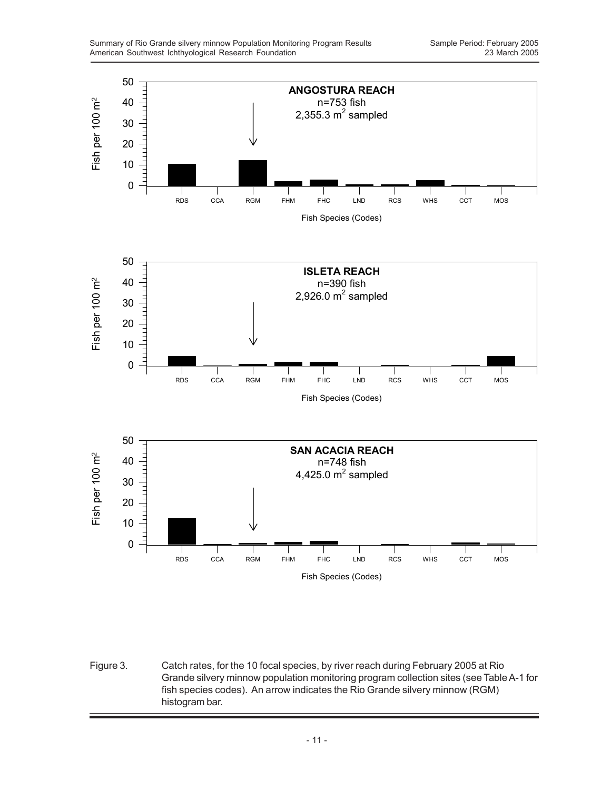

Figure 3. Catch rates, for the 10 focal species, by river reach during February 2005 at Rio Grande silvery minnow population monitoring program collection sites (see Table A-1 for fish species codes). An arrow indicates the Rio Grande silvery minnow (RGM) histogram bar.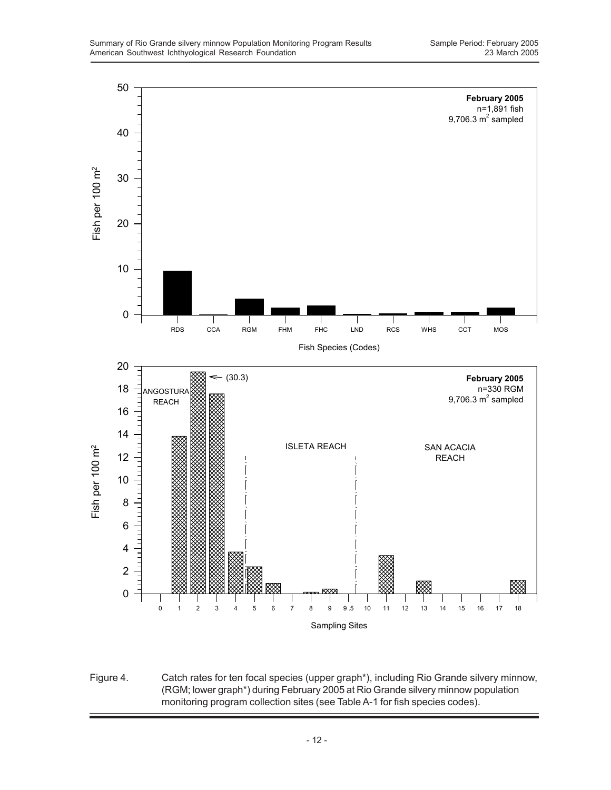

Figure 4. Catch rates for ten focal species (upper graph\*), including Rio Grande silvery minnow, (RGM; lower graph\*) during February 2005 at Rio Grande silvery minnow population monitoring program collection sites (see Table A-1 for fish species codes).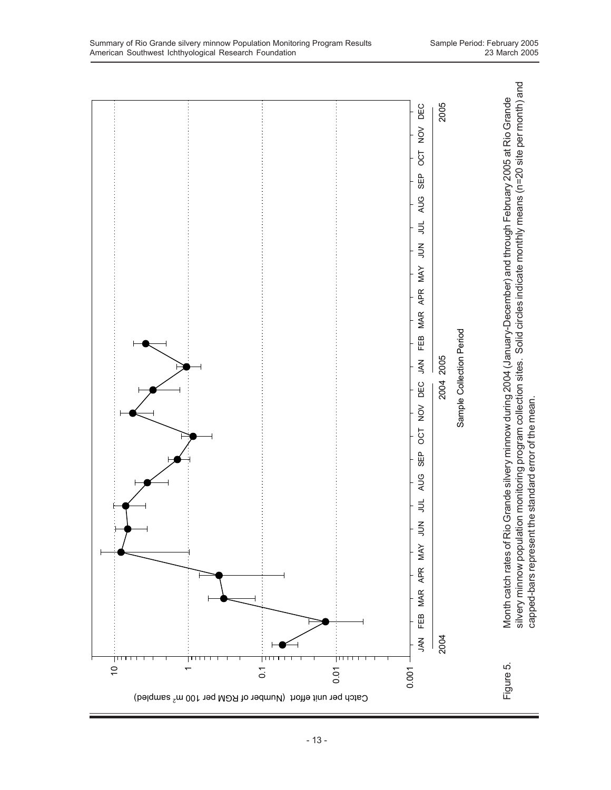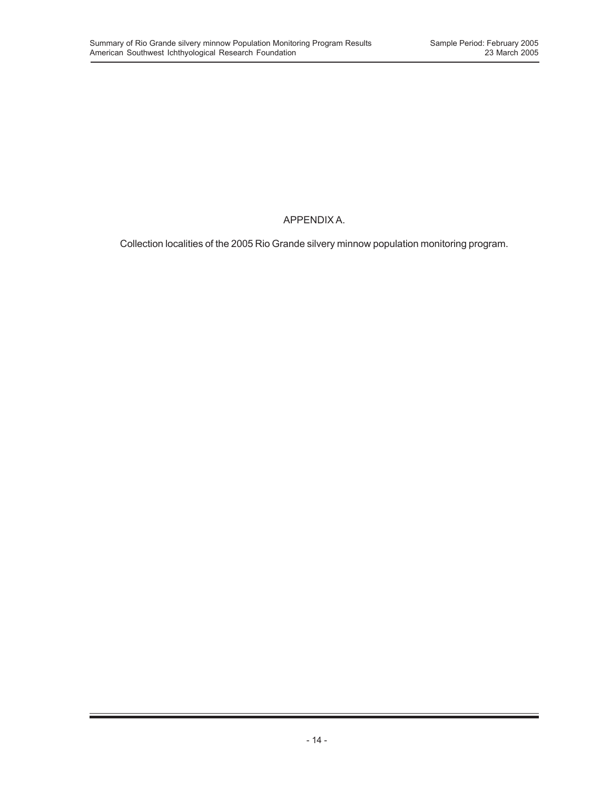## APPENDIX A.

Collection localities of the 2005 Rio Grande silvery minnow population monitoring program.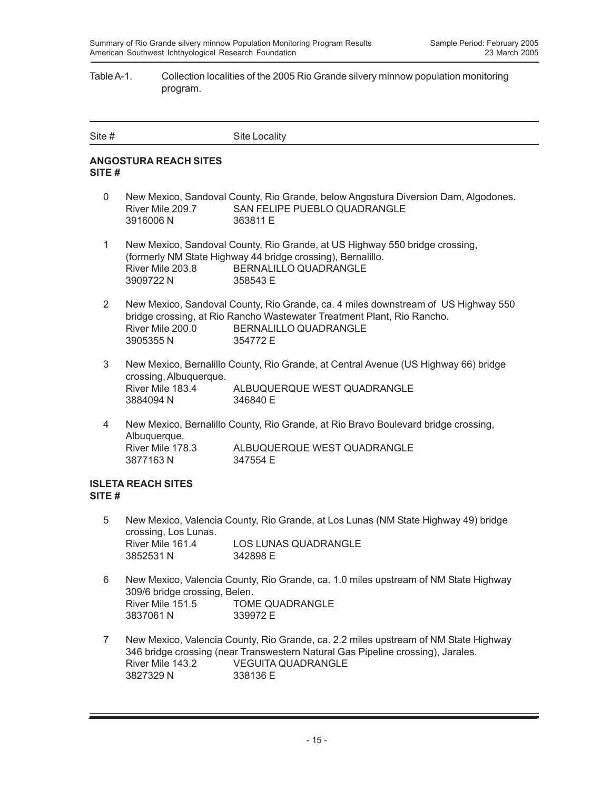#### Table A-1. Collection localities of the 2005 Rio Grande silvery minnow population monitoring program.

| Site # | Site Locality |
|--------|---------------|
|        |               |

## **ANGOSTURA REACH SITES SITE #**

- 0 New Mexico, Sandoval County, Rio Grande, below Angostura Diversion Dam, Algodones. River Mile 209.7 SAN FELIPE PUEBLO QUADRANGLE 3916006 N 363811 E
- 1 New Mexico, Sandoval County, Rio Grande, at US Highway 550 bridge crossing, (formerly NM State Highway 44 bridge crossing), Bernalillo. River Mile 203.8 BERNALILLO QUADRANGLE 3909722 N 358543 E
- 2 New Mexico, Sandoval County, Rio Grande, ca. 4 miles downstream of US Highway 550 bridge crossing, at Rio Rancho Wastewater Treatment Plant, Rio Rancho. River Mile 200.0 BERNALILLO QUADRANGLE 3905355 N 354772 E
- 3 New Mexico, Bernalillo County, Rio Grande, at Central Avenue (US Highway 66) bridge crossing, Albuquerque. River Mile 183.4 ALBUQUERQUE WEST QUADRANGLE 3884094 N 346840 E
- 4 New Mexico, Bernalillo County, Rio Grande, at Rio Bravo Boulevard bridge crossing, Albuquerque. River Mile 178.3 ALBUQUERQUE WEST QUADRANGLE 3877163 N 347554 E

## **ISLETA REACH SITES SITE #**

- 5 New Mexico, Valencia County, Rio Grande, at Los Lunas (NM State Highway 49) bridge crossing, Los Lunas. River Mile 161.4 LOS LUNAS QUADRANGLE 3852531 N 342898 E
- 6 New Mexico, Valencia County, Rio Grande, ca. 1.0 miles upstream of NM State Highway 309/6 bridge crossing, Belen. River Mile 151.5 TOME QUADRANGLE 3837061 N 339972 E
- 7 New Mexico, Valencia County, Rio Grande, ca. 2.2 miles upstream of NM State Highway 346 bridge crossing (near Transwestern Natural Gas Pipeline crossing), Jarales. River Mile 143.2 VEGUITA QUADRANGLE 3827329 N 338136 E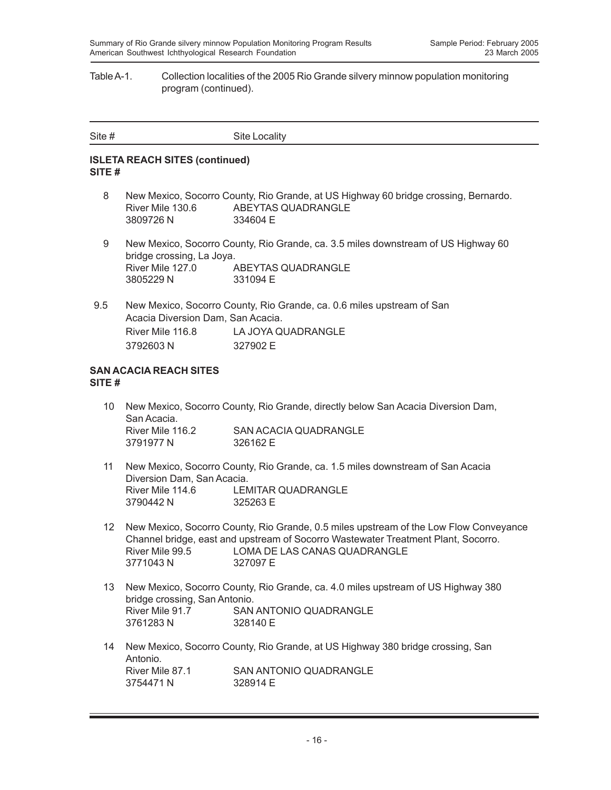#### Table A-1. Collection localities of the 2005 Rio Grande silvery minnow population monitoring program (continued).

| Site # | Site Locality |
|--------|---------------|
|        |               |

## **ISLETA REACH SITES (continued) SITE #**

- 8 New Mexico, Socorro County, Rio Grande, at US Highway 60 bridge crossing, Bernardo. River Mile 130.6 ABEYTAS QUADRANGLE 3809726 N 334604 E
- 9 New Mexico, Socorro County, Rio Grande, ca. 3.5 miles downstream of US Highway 60 bridge crossing, La Joya. River Mile 127.0 ABEYTAS QUADRANGLE 3805229 N 331094 E
- 9.5 New Mexico, Socorro County, Rio Grande, ca. 0.6 miles upstream of San Acacia Diversion Dam, San Acacia. River Mile 116.8 LA JOYA QUADRANGLE 3792603 N 327902 E

#### **SAN ACACIA REACH SITES SITE #**

- 10 New Mexico, Socorro County, Rio Grande, directly below San Acacia Diversion Dam, San Acacia. River Mile 116.2 SAN ACACIA QUADRANGLE 3791977 N 326162 E
- 11 New Mexico, Socorro County, Rio Grande, ca. 1.5 miles downstream of San Acacia Diversion Dam, San Acacia. River Mile 114.6 LEMITAR QUADRANGLE 3790442 N 325263 E
- 12 New Mexico, Socorro County, Rio Grande, 0.5 miles upstream of the Low Flow Conveyance Channel bridge, east and upstream of Socorro Wastewater Treatment Plant, Socorro. River Mile 99.5 LOMA DE LAS CANAS QUADRANGLE 3771043 N 327097 E
- 13 New Mexico, Socorro County, Rio Grande, ca. 4.0 miles upstream of US Highway 380 bridge crossing, San Antonio. River Mile 91.7 SAN ANTONIO QUADRANGLE 3761283 N 328140 E
- 14 New Mexico, Socorro County, Rio Grande, at US Highway 380 bridge crossing, San Antonio.<br>River Mile 87.1 SAN ANTONIO QUADRANGLE 3754471 N 328914 F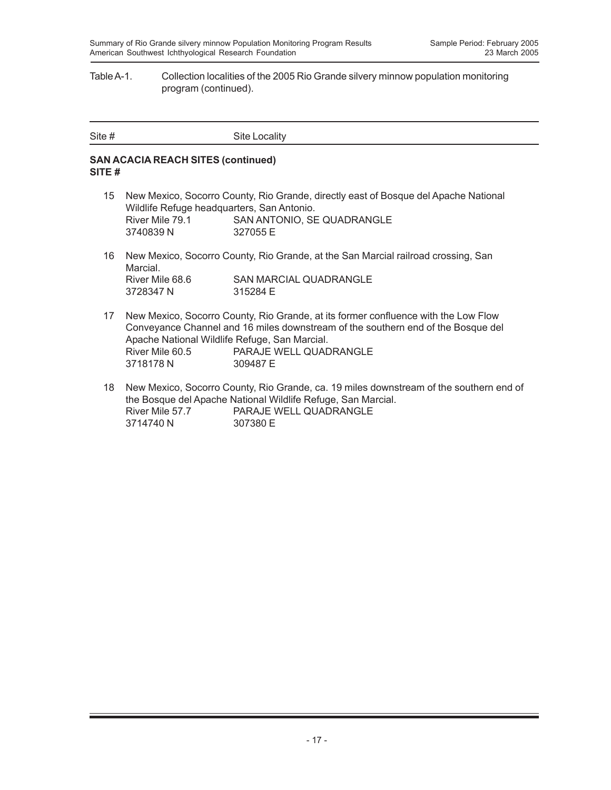#### Table A-1. Collection localities of the 2005 Rio Grande silvery minnow population monitoring program (continued).

| Site # | Site Locality |
|--------|---------------|

## **SAN ACACIA REACH SITES (continued) SITE #**

- 15 New Mexico, Socorro County, Rio Grande, directly east of Bosque del Apache National Wildlife Refuge headquarters, San Antonio. River Mile 79.1 SAN ANTONIO, SE QUADRANGLE 3740839 N 327055 E
- 16 New Mexico, Socorro County, Rio Grande, at the San Marcial railroad crossing, San Marcial. River Mile 68.6 SAN MARCIAL QUADRANGLE<br>3728347 N 315284 E 3728347 N
- 17 New Mexico, Socorro County, Rio Grande, at its former confluence with the Low Flow Conveyance Channel and 16 miles downstream of the southern end of the Bosque del Apache National Wildlife Refuge, San Marcial. River Mile 60.5 PARAJE WELL QUADRANGLE 3718178 N 309487 E
- 18 New Mexico, Socorro County, Rio Grande, ca. 19 miles downstream of the southern end of the Bosque del Apache National Wildlife Refuge, San Marcial. River Mile 57.7 PARAJE WELL QUADRANGLE 3714740 N 307380 E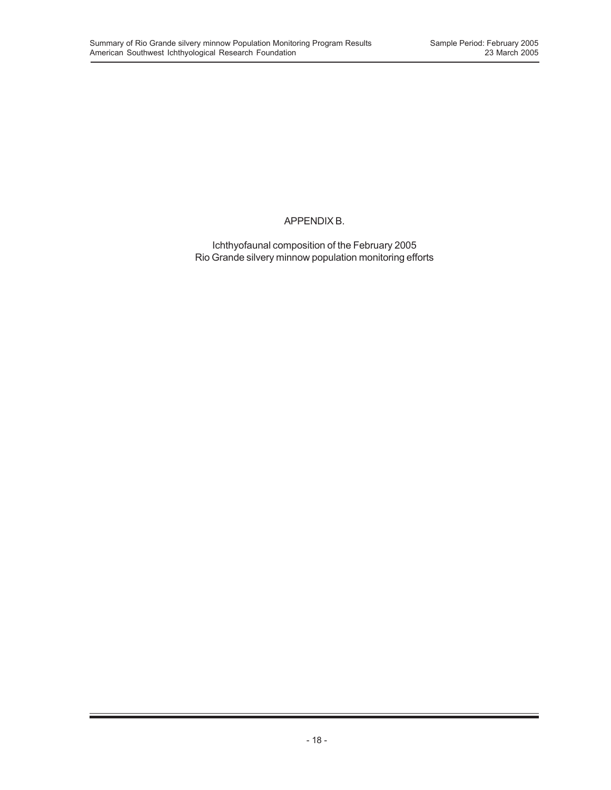## APPENDIX B.

Ichthyofaunal composition of the February 2005 Rio Grande silvery minnow population monitoring efforts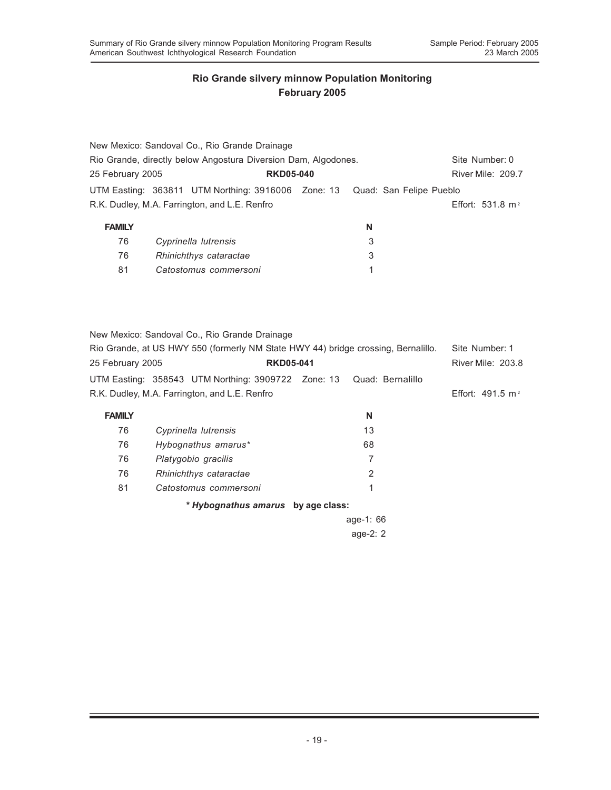81 *Catostomus commersoni* 1

## **Rio Grande silvery minnow Population Monitoring February 2005**

|                                                                |  | New Mexico: Sandoval Co., Rio Grande Drainage                              |                  |  |   |                |                    |
|----------------------------------------------------------------|--|----------------------------------------------------------------------------|------------------|--|---|----------------|--------------------|
| Rio Grande, directly below Angostura Diversion Dam, Algodones. |  |                                                                            |                  |  |   | Site Number: 0 |                    |
| 25 February 2005                                               |  |                                                                            | <b>RKD05-040</b> |  |   |                | River Mile: 209.7  |
|                                                                |  | UTM Easting: 363811 UTM Northing: 3916006 Zone: 13 Quad: San Felipe Pueblo |                  |  |   |                |                    |
|                                                                |  | R.K. Dudley, M.A. Farrington, and L.E. Renfro                              |                  |  |   |                | Effort: 531.8 $m2$ |
| <b>FAMILY</b>                                                  |  |                                                                            |                  |  | N |                |                    |
| 76                                                             |  | Cyprinella lutrensis                                                       |                  |  | 3 |                |                    |
| 76                                                             |  | Rhinichthys cataractae                                                     |                  |  | 3 |                |                    |

New Mexico: Sandoval Co., Rio Grande Drainage Rio Grande, at US HWY 550 (formerly NM State HWY 44) bridge crossing, Bernalillo. Site Number: 1 25 February 2005 **RKD05-041** River Mile: 203.8 UTM Easting: 358543 UTM Northing: 3909722 Zone: 13 Quad: Bernalillo R.K. Dudley, M.A. Farrington, and L.E. Renfro **Effort: 491.5 m**<sup>2</sup> **FAMILY N** 76 *Cyprinella lutrensis* 13 76 *Hybognathus amarus\** 68 76 *Platygobio gracilis* 7 76 *Rhinichthys cataractae* 2

*\* Hybognathus amarus* **by age class:**

81 *Catostomus commersoni* 1

age-1: 66 age-2: 2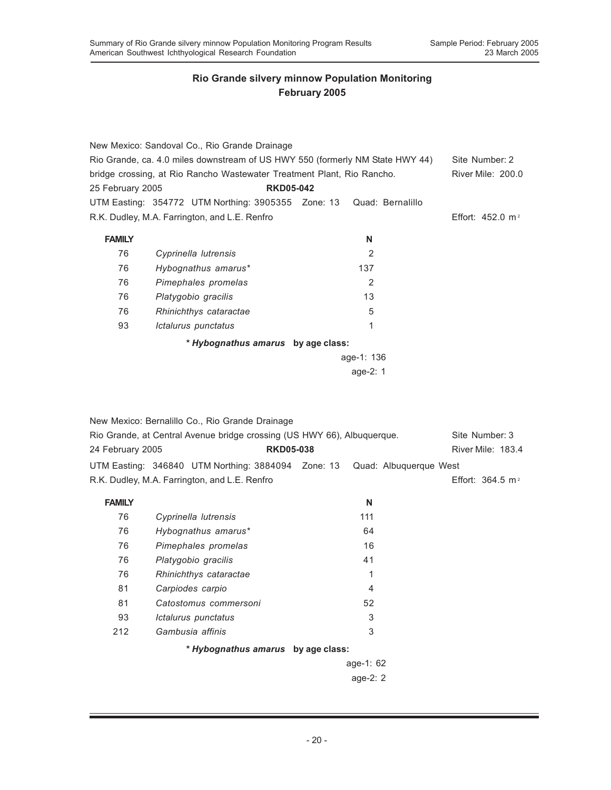|                                                                        | New Mexico: Sandoval Co., Rio Grande Drainage                                 |                  |                |                        |                              |
|------------------------------------------------------------------------|-------------------------------------------------------------------------------|------------------|----------------|------------------------|------------------------------|
|                                                                        | Rio Grande, ca. 4.0 miles downstream of US HWY 550 (formerly NM State HWY 44) |                  |                |                        | Site Number: 2               |
| bridge crossing, at Rio Rancho Wastewater Treatment Plant, Rio Rancho. | <b>River Mile: 200.0</b>                                                      |                  |                |                        |                              |
| 25 February 2005                                                       |                                                                               | <b>RKD05-042</b> |                |                        |                              |
|                                                                        | UTM Easting: 354772 UTM Northing: 3905355 Zone: 13                            |                  |                | Quad: Bernalillo       |                              |
|                                                                        | R.K. Dudley, M.A. Farrington, and L.E. Renfro                                 |                  |                |                        | Effort: $452.0 \text{ m}^2$  |
|                                                                        |                                                                               |                  |                |                        |                              |
| <b>FAMILY</b>                                                          |                                                                               |                  | N              |                        |                              |
| 76                                                                     | Cyprinella lutrensis                                                          |                  | 2              |                        |                              |
| 76                                                                     | Hybognathus amarus*                                                           |                  | 137            |                        |                              |
| 76                                                                     | Pimephales promelas                                                           |                  | $\overline{2}$ |                        |                              |
| 76                                                                     | Platygobio gracilis                                                           |                  | 13             |                        |                              |
| 76                                                                     | Rhinichthys cataractae                                                        |                  | 5              |                        |                              |
| 93                                                                     | Ictalurus punctatus                                                           |                  | 1              |                        |                              |
|                                                                        | * Hybognathus amarus by age class:                                            |                  |                |                        |                              |
|                                                                        |                                                                               |                  | age-1: 136     |                        |                              |
|                                                                        |                                                                               |                  | age-2: 1       |                        |                              |
|                                                                        |                                                                               |                  |                |                        |                              |
|                                                                        | New Mexico: Bernalillo Co., Rio Grande Drainage                               |                  |                |                        |                              |
|                                                                        | Rio Grande, at Central Avenue bridge crossing (US HWY 66), Albuquerque.       |                  |                |                        | Site Number: 3               |
| 24 February 2005                                                       |                                                                               | <b>RKD05-038</b> |                |                        | River Mile: 183.4            |
|                                                                        | UTM Easting: 346840 UTM Northing: 3884094 Zone: 13                            |                  |                | Quad: Albuquerque West |                              |
|                                                                        | R.K. Dudley, M.A. Farrington, and L.E. Renfro                                 |                  |                |                        | Effort: 364.5 m <sup>2</sup> |

| <b>FAMILY</b> |                                    | N           |
|---------------|------------------------------------|-------------|
| 76            | Cyprinella lutrensis               | 111         |
| 76            | Hybognathus amarus*                | 64          |
| 76            | Pimephales promelas                | 16          |
| 76            | Platygobio gracilis                | 41          |
| 76            | Rhinichthys cataractae             | 1           |
| 81            | Carpiodes carpio                   | 4           |
| 81            | Catostomus commersoni              | 52          |
| 93            | Ictalurus punctatus                | 3           |
| 212           | Gambusia affinis                   | 3           |
|               | * Hybognathus amarus by age class: |             |
|               |                                    | age-1: $62$ |
|               |                                    | age-2: $2$  |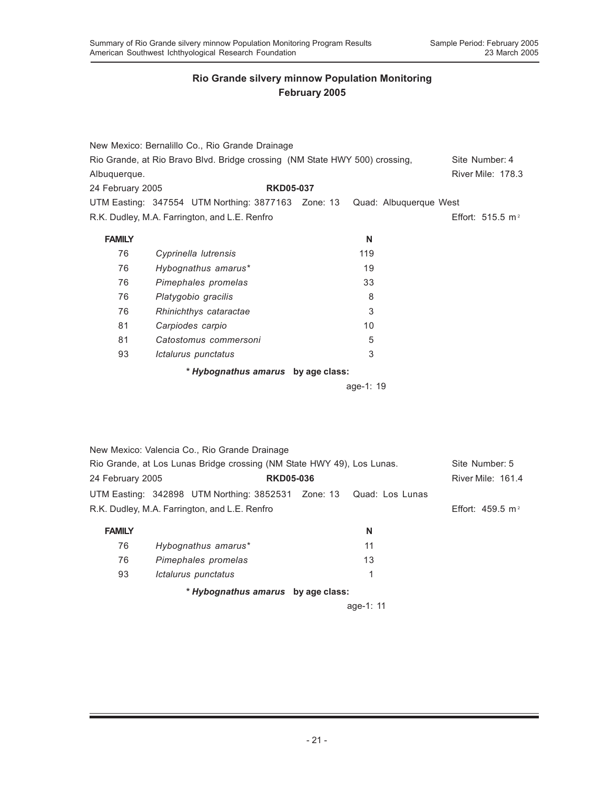|                  | New Mexico: Bernalillo Co., Rio Grande Drainage                             |                  |           |                              |
|------------------|-----------------------------------------------------------------------------|------------------|-----------|------------------------------|
|                  | Rio Grande, at Rio Bravo Blvd. Bridge crossing (NM State HWY 500) crossing, |                  |           | Site Number: 4               |
| Albuquerque.     |                                                                             |                  |           | River Mile: 178.3            |
| 24 February 2005 |                                                                             | <b>RKD05-037</b> |           |                              |
|                  | UTM Easting: 347554 UTM Northing: 3877163 Zone: 13 Quad: Albuquerque West   |                  |           |                              |
|                  | R.K. Dudley, M.A. Farrington, and L.E. Renfro                               |                  |           | Effort: 515.5 m <sup>2</sup> |
| <b>FAMILY</b>    |                                                                             |                  | N         |                              |
| 76               | Cyprinella lutrensis                                                        |                  | 119       |                              |
| 76               | Hybognathus amarus*                                                         |                  | 19        |                              |
| 76               | Pimephales promelas                                                         |                  | 33        |                              |
| 76               | Platygobio gracilis                                                         |                  | 8         |                              |
| 76               | Rhinichthys cataractae                                                      |                  | 3         |                              |
| 81               | Carpiodes carpio                                                            |                  | 10        |                              |
| 81               | Catostomus commersoni                                                       |                  | 5         |                              |
| 93               | Ictalurus punctatus                                                         |                  | 3         |                              |
|                  | * Hybognathus amarus by age class:                                          |                  |           |                              |
|                  |                                                                             |                  | age-1: 19 |                              |
|                  |                                                                             |                  |           |                              |
|                  |                                                                             |                  |           |                              |
|                  |                                                                             |                  |           |                              |
|                  | New Mexico: Valencia Co., Rio Grande Drainage                               |                  |           |                              |

| <b>TYCYM INICATOO:</b> Valufloid OO:, INIO OTalitac Dialitagu          |                                                                    |                  |  |  |                              |
|------------------------------------------------------------------------|--------------------------------------------------------------------|------------------|--|--|------------------------------|
| Rio Grande, at Los Lunas Bridge crossing (NM State HWY 49), Los Lunas. | Site Number: 5                                                     |                  |  |  |                              |
| 24 February 2005                                                       |                                                                    | <b>RKD05-036</b> |  |  | River Mile: 161.4            |
|                                                                        | UTM Easting: 342898 UTM Northing: 3852531 Zone: 13 Quad: Los Lunas |                  |  |  |                              |
| R.K. Dudley, M.A. Farrington, and L.E. Renfro                          |                                                                    |                  |  |  | Effort: 459.5 m <sup>2</sup> |
|                                                                        |                                                                    |                  |  |  |                              |

| <b>FAMILY</b> |                                    | N         |
|---------------|------------------------------------|-----------|
| 76            | Hybognathus amarus*                | 11        |
| 76            | Pimephales promelas                | 13        |
| 93            | Ictalurus punctatus                |           |
|               | * Hybognathus amarus by age class: |           |
|               |                                    | age-1: 11 |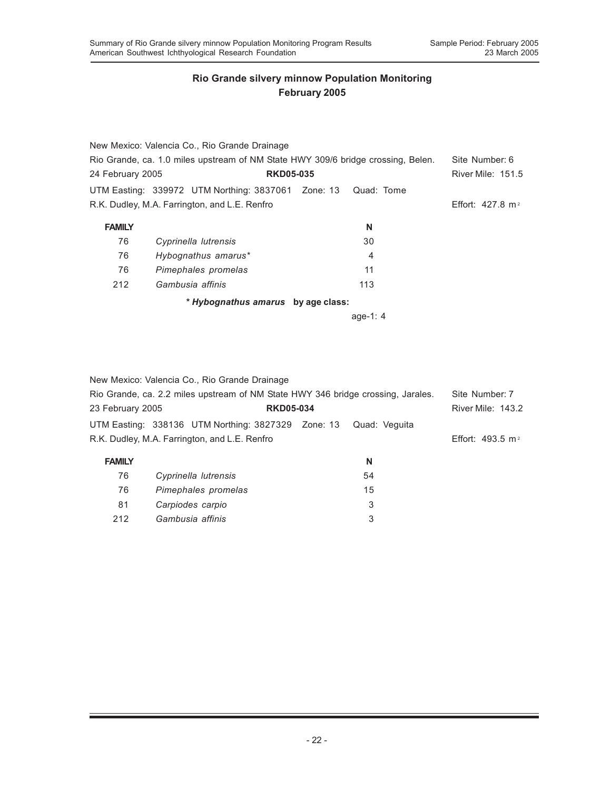|                                                                                  | New Mexico: Valencia Co., Rio Grande Drainage                 |          |                             |
|----------------------------------------------------------------------------------|---------------------------------------------------------------|----------|-----------------------------|
| Rio Grande, ca. 1.0 miles upstream of NM State HWY 309/6 bridge crossing, Belen. | Site Number: 6                                                |          |                             |
| 24 February 2005                                                                 | <b>RKD05-035</b>                                              |          | <b>River Mile: 151.5</b>    |
|                                                                                  | UTM Easting: 339972 UTM Northing: 3837061 Zone: 13 Quad: Tome |          |                             |
|                                                                                  | R.K. Dudley, M.A. Farrington, and L.E. Renfro                 |          | Effort: $427.8 \text{ m}^2$ |
| <b>FAMILY</b>                                                                    |                                                               | N        |                             |
| 76                                                                               | Cyprinella lutrensis                                          | 30       |                             |
| 76                                                                               | Hybognathus amarus*                                           | 4        |                             |
| 76                                                                               | Pimephales promelas                                           | 11       |                             |
| 212                                                                              | Gambusia affinis                                              | 113      |                             |
|                                                                                  | * Hybognathus amarus by age class:                            |          |                             |
|                                                                                  |                                                               | age-1: 4 |                             |

New Mexico: Valencia Co., Rio Grande Drainage

| Rio Grande, ca. 2.2 miles upstream of NM State HWY 346 bridge crossing, Jarales. |                                                    |  |                   | Site Number: 7               |
|----------------------------------------------------------------------------------|----------------------------------------------------|--|-------------------|------------------------------|
|                                                                                  | 23 February 2005<br><b>RKD05-034</b>               |  | River Mile: 143.2 |                              |
|                                                                                  | UTM Easting: 338136 UTM Northing: 3827329 Zone: 13 |  | Quad: Veguita     |                              |
| R.K. Dudley, M.A. Farrington, and L.E. Renfro                                    |                                                    |  |                   | Effort: 493.5 m <sup>2</sup> |
| <b>FAMILY</b>                                                                    |                                                    |  | N                 |                              |
| 76                                                                               | Cyprinella lutrensis                               |  | 54                |                              |
| 76                                                                               | Pimephales promelas                                |  | 15                |                              |

81 *Carpiodes carpio* 3 212 *Gambusia affinis* 3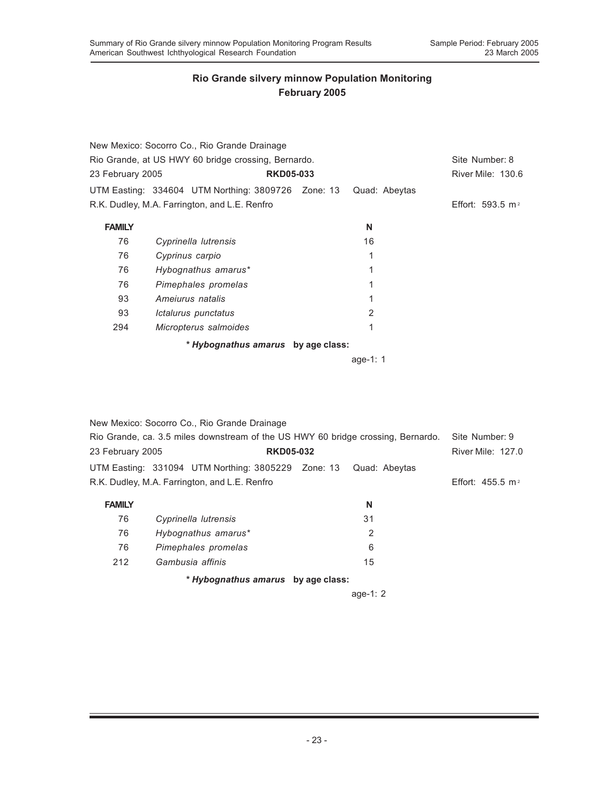|                                                     | New Mexico: Socorro Co., Rio Grande Drainage       |  |                   |                              |
|-----------------------------------------------------|----------------------------------------------------|--|-------------------|------------------------------|
| Rio Grande, at US HWY 60 bridge crossing, Bernardo. | Site Number: 8                                     |  |                   |                              |
| 23 February 2005<br><b>RKD05-033</b>                |                                                    |  | River Mile: 130.6 |                              |
|                                                     | UTM Easting: 334604 UTM Northing: 3809726 Zone: 13 |  | Quad: Abeytas     |                              |
|                                                     | R.K. Dudley, M.A. Farrington, and L.E. Renfro      |  |                   | Effort: 593.5 m <sup>2</sup> |
| <b>FAMILY</b>                                       |                                                    |  | N                 |                              |
| 76                                                  | Cyprinella lutrensis                               |  | 16                |                              |
| 76                                                  | Cyprinus carpio                                    |  | 1                 |                              |
| 76                                                  | Hybognathus amarus*                                |  | 1                 |                              |
| 76                                                  | Pimephales promelas                                |  | 1                 |                              |
| 93                                                  | Amejurus natalis                                   |  | 1                 |                              |
| 93                                                  | Ictalurus punctatus                                |  | 2                 |                              |
| 294                                                 | Micropterus salmoides                              |  | 1                 |                              |
|                                                     | * Hybognathus amarus by age class:                 |  |                   |                              |
|                                                     |                                                    |  | age-1: $1$        |                              |

|                                                                                  | New Mexico: Socorro Co., Rio Grande Drainage                     |    |                          |
|----------------------------------------------------------------------------------|------------------------------------------------------------------|----|--------------------------|
| Rio Grande, ca. 3.5 miles downstream of the US HWY 60 bridge crossing, Bernardo. | Site Number: 9                                                   |    |                          |
| 23 February 2005                                                                 | <b>RKD05-032</b>                                                 |    | <b>River Mile: 127.0</b> |
|                                                                                  | UTM Easting: 331094 UTM Northing: 3805229 Zone: 13 Quad: Abeytas |    |                          |
| R.K. Dudley, M.A. Farrington, and L.E. Renfro                                    | Effort: $455.5 \text{ m}^2$                                      |    |                          |
| <b>FAMILY</b>                                                                    |                                                                  | N  |                          |
| 76                                                                               | Cyprinella lutrensis                                             | 31 |                          |
| 76                                                                               | Hybognathus amarus*                                              | 2  |                          |
| 76                                                                               | Pimephales promelas                                              | 6  |                          |
| 212                                                                              | Gambusia affinis                                                 | 15 |                          |

*\* Hybognathus amarus* **by age class:**

age-1: 2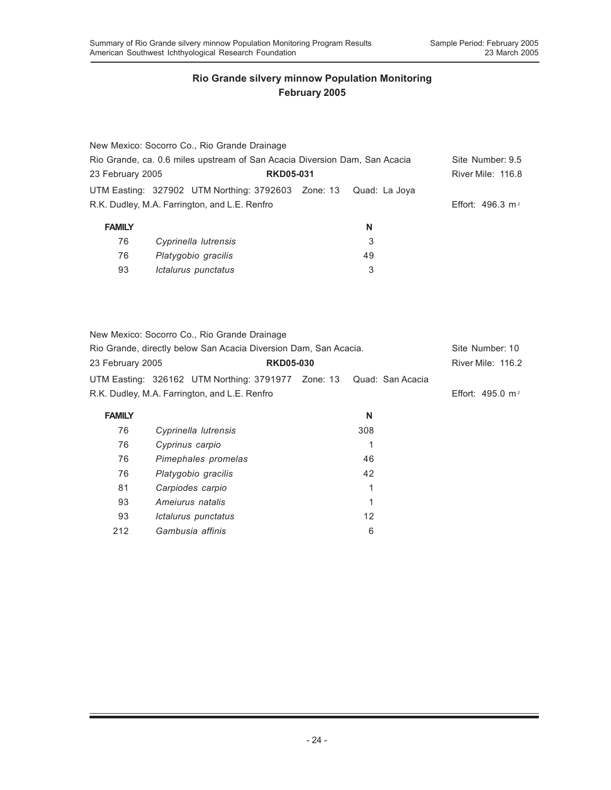93 *Ictalurus punctatus* 3

93 *Ameiurus natalis* 1 93 *Ictalurus punctatus* 12 212 *Gambusia affinis* 6

|                                      | New Mexico: Socorro Co., Rio Grande Drainage                               |  |                   |                             |
|--------------------------------------|----------------------------------------------------------------------------|--|-------------------|-----------------------------|
|                                      | Rio Grande, ca. 0.6 miles upstream of San Acacia Diversion Dam, San Acacia |  |                   |                             |
| 23 February 2005<br><b>RKD05-031</b> |                                                                            |  | River Mile: 116.8 |                             |
|                                      | UTM Easting: 327902 UTM Northing: 3792603 Zone: 13 Quad: La Joya           |  |                   |                             |
|                                      | R.K. Dudley, M.A. Farrington, and L.E. Renfro                              |  |                   | Effort: $496.3 \text{ m}^2$ |
| <b>FAMILY</b>                        |                                                                            |  | N                 |                             |
| 76                                   | Cyprinella lutrensis                                                       |  | 3                 |                             |
| 76                                   | Platygobio gracilis                                                        |  | 49                |                             |

|                                                                  | New Mexico: Socorro Co., Rio Grande Drainage                        |  |     |                              |
|------------------------------------------------------------------|---------------------------------------------------------------------|--|-----|------------------------------|
| Rio Grande, directly below San Acacia Diversion Dam, San Acacia. | Site Number: 10                                                     |  |     |                              |
| 23 February 2005                                                 | <b>RKD05-030</b>                                                    |  |     | <b>River Mile: 116.2</b>     |
|                                                                  | UTM Easting: 326162 UTM Northing: 3791977 Zone: 13 Quad: San Acacia |  |     |                              |
| R.K. Dudley, M.A. Farrington, and L.E. Renfro                    |                                                                     |  |     | Effort: 495.0 m <sup>2</sup> |
| <b>FAMILY</b>                                                    |                                                                     |  | N   |                              |
| 76                                                               | Cyprinella lutrensis                                                |  | 308 |                              |
| 76                                                               | Cyprinus carpio                                                     |  | 1   |                              |
| 76                                                               | Pimephales promelas                                                 |  | 46  |                              |
| 76                                                               | Platygobio gracilis                                                 |  | 42  |                              |
| 81                                                               | Carpiodes carpio                                                    |  | 1   |                              |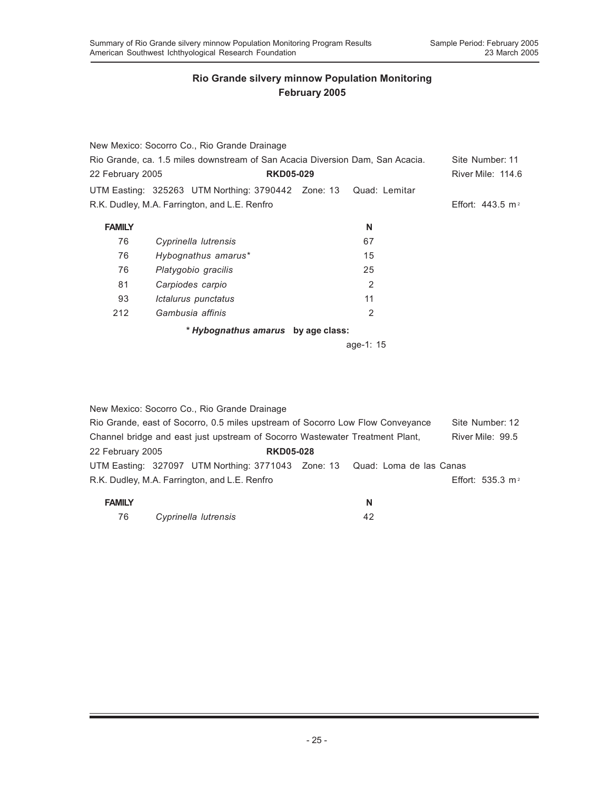|                                                                               | New Mexico: Socorro Co., Rio Grande Drainage                     |  |           |                              |
|-------------------------------------------------------------------------------|------------------------------------------------------------------|--|-----------|------------------------------|
| Rio Grande, ca. 1.5 miles downstream of San Acacia Diversion Dam, San Acacia. | Site Number: 11                                                  |  |           |                              |
| 22 February 2005                                                              | <b>RKD05-029</b>                                                 |  |           | River Mile: 114.6            |
|                                                                               | UTM Easting: 325263 UTM Northing: 3790442 Zone: 13 Quad: Lemitar |  |           |                              |
| R.K. Dudley, M.A. Farrington, and L.E. Renfro                                 |                                                                  |  |           | Effort: 443.5 m <sup>2</sup> |
| <b>FAMILY</b>                                                                 |                                                                  |  | N         |                              |
| 76                                                                            | Cyprinella lutrensis                                             |  | 67        |                              |
| 76                                                                            | Hybognathus amarus*                                              |  | 15        |                              |
| 76                                                                            | Platygobio gracilis                                              |  | 25        |                              |
| 81                                                                            | Carpiodes carpio                                                 |  | 2         |                              |
| 93                                                                            | Ictalurus punctatus                                              |  | 11        |                              |
| 212                                                                           | Gambusia affinis                                                 |  | 2         |                              |
|                                                                               | * Hybognathus amarus by age class:                               |  |           |                              |
|                                                                               |                                                                  |  | age-1: 15 |                              |

|                                                                                | New Mexico: Socorro Co., Rio Grande Drainage                               |                  |                  |                 |                    |  |
|--------------------------------------------------------------------------------|----------------------------------------------------------------------------|------------------|------------------|-----------------|--------------------|--|
| Rio Grande, east of Socorro, 0.5 miles upstream of Socorro Low Flow Conveyance |                                                                            |                  |                  | Site Number: 12 |                    |  |
| Channel bridge and east just upstream of Socorro Wastewater Treatment Plant,   |                                                                            |                  | River Mile: 99.5 |                 |                    |  |
| 22 February 2005                                                               |                                                                            | <b>RKD05-028</b> |                  |                 |                    |  |
|                                                                                | UTM Easting: 327097 UTM Northing: 3771043 Zone: 13 Quad: Loma de las Canas |                  |                  |                 |                    |  |
|                                                                                | R.K. Dudley, M.A. Farrington, and L.E. Renfro                              |                  |                  |                 | Effort: 535.3 $m2$ |  |

| <b>FAMILY</b> |                      |  |
|---------------|----------------------|--|
| 76            | Cyprinella lutrensis |  |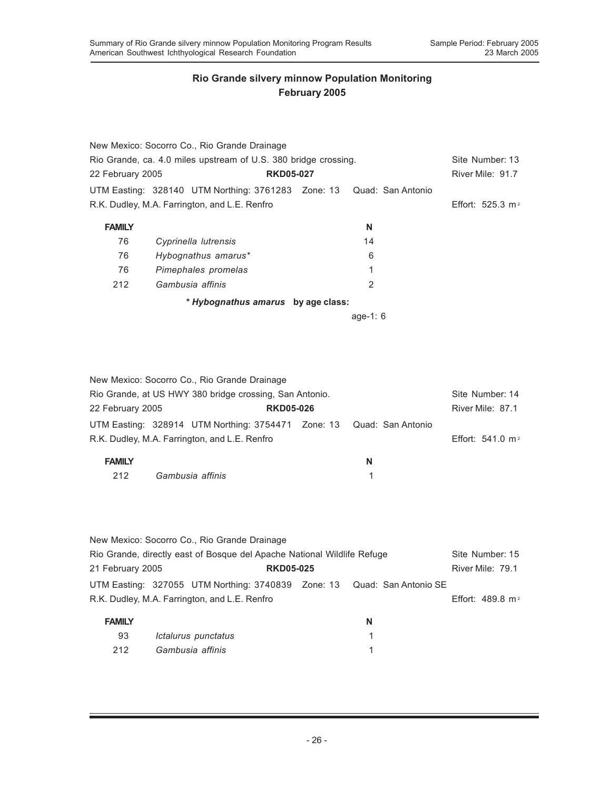|                                                                 | New Mexico: Socorro Co., Rio Grande Drainage                         |            |                              |
|-----------------------------------------------------------------|----------------------------------------------------------------------|------------|------------------------------|
| Rio Grande, ca. 4.0 miles upstream of U.S. 380 bridge crossing. | Site Number: 13                                                      |            |                              |
| 22 February 2005                                                | <b>RKD05-027</b>                                                     |            | River Mile: 91.7             |
|                                                                 | UTM Easting: 328140 UTM Northing: 3761283 Zone: 13 Quad: San Antonio |            |                              |
|                                                                 | R.K. Dudley, M.A. Farrington, and L.E. Renfro                        |            | Effort: 525.3 m <sup>2</sup> |
| <b>FAMILY</b>                                                   |                                                                      | N          |                              |
| 76                                                              | Cyprinella lutrensis                                                 | 14         |                              |
| 76                                                              | Hybognathus amarus*                                                  | 6          |                              |
| 76                                                              | Pimephales promelas                                                  | 1          |                              |
| 212                                                             | Gambusia affinis                                                     | 2          |                              |
|                                                                 | * Hybognathus amarus by age class:                                   |            |                              |
|                                                                 |                                                                      | age-1: $6$ |                              |

|                                                         |  | New Mexico: Socorro Co., Rio Grande Drainage                         |                  |                              |                 |  |
|---------------------------------------------------------|--|----------------------------------------------------------------------|------------------|------------------------------|-----------------|--|
| Rio Grande, at US HWY 380 bridge crossing, San Antonio. |  |                                                                      |                  |                              | Site Number: 14 |  |
| 22 February 2005<br><b>RKD05-026</b>                    |  |                                                                      | River Mile: 87.1 |                              |                 |  |
|                                                         |  | UTM Easting: 328914 UTM Northing: 3754471 Zone: 13 Quad: San Antonio |                  |                              |                 |  |
| R.K. Dudley, M.A. Farrington, and L.E. Renfro           |  |                                                                      |                  | Effort: 541.0 m <sup>2</sup> |                 |  |
| <b>FAMILY</b>                                           |  |                                                                      |                  | N                            |                 |  |
| 212                                                     |  | Gambusia affinis                                                     |                  |                              |                 |  |

|                                                                         |  | New Mexico: Socorro Co., Rio Grande Drainage |  |  |                             |                                                                         |  |  |
|-------------------------------------------------------------------------|--|----------------------------------------------|--|--|-----------------------------|-------------------------------------------------------------------------|--|--|
| Rio Grande, directly east of Bosque del Apache National Wildlife Refuge |  |                                              |  |  |                             | Site Number: 15                                                         |  |  |
| 21 February 2005                                                        |  | <b>RKD05-025</b>                             |  |  |                             | River Mile: 79.1                                                        |  |  |
|                                                                         |  |                                              |  |  |                             | UTM Easting: 327055 UTM Northing: 3740839 Zone: 13 Quad: San Antonio SE |  |  |
| R.K. Dudley, M.A. Farrington, and L.E. Renfro                           |  |                                              |  |  | Effort: $489.8 \text{ m}^2$ |                                                                         |  |  |
| <b>FAMILY</b>                                                           |  |                                              |  |  | N                           |                                                                         |  |  |
| 93                                                                      |  | Ictalurus punctatus                          |  |  |                             |                                                                         |  |  |
| 212                                                                     |  | Gambusia affinis                             |  |  |                             |                                                                         |  |  |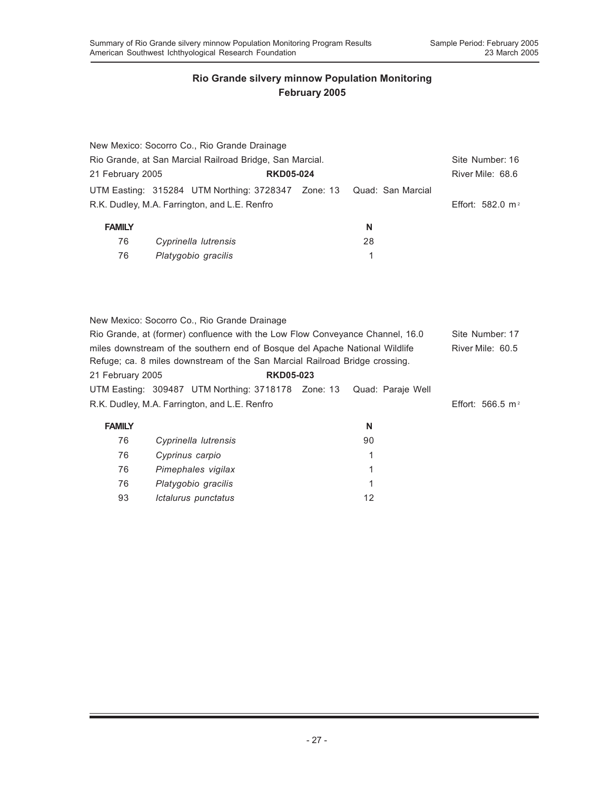|                                                                                                                                                            | New Mexico: Socorro Co., Rio Grande Drainage       |                   |                              |  |  |  |  |
|------------------------------------------------------------------------------------------------------------------------------------------------------------|----------------------------------------------------|-------------------|------------------------------|--|--|--|--|
| Rio Grande, at San Marcial Railroad Bridge, San Marcial.                                                                                                   | Site Number: 16                                    |                   |                              |  |  |  |  |
|                                                                                                                                                            | <b>RKD05-024</b><br>21 February 2005               |                   |                              |  |  |  |  |
|                                                                                                                                                            | UTM Easting: 315284 UTM Northing: 3728347 Zone: 13 | Quad: San Marcial |                              |  |  |  |  |
|                                                                                                                                                            | R.K. Dudley, M.A. Farrington, and L.E. Renfro      |                   | Effort: 582.0 m <sup>2</sup> |  |  |  |  |
| <b>FAMILY</b>                                                                                                                                              |                                                    | N                 |                              |  |  |  |  |
| 76                                                                                                                                                         | Cyprinella lutrensis                               | 28                |                              |  |  |  |  |
| 76                                                                                                                                                         | Platygobio gracilis                                | 1                 |                              |  |  |  |  |
|                                                                                                                                                            |                                                    |                   |                              |  |  |  |  |
| New Mexico: Socorro Co., Rio Grande Drainage<br>Rio Grande, at (former) confluence with the Low Flow Conveyance Channel, 16.0<br>Site Number: 17           |                                                    |                   |                              |  |  |  |  |
| miles downstream of the southern end of Bosque del Apache National Wildlife<br>Refuge; ca. 8 miles downstream of the San Marcial Railroad Bridge crossing. | River Mile: 60.5                                   |                   |                              |  |  |  |  |
| 21 February 2005<br><b>RKD05-023</b>                                                                                                                       |                                                    |                   |                              |  |  |  |  |
|                                                                                                                                                            | UTM Easting: 309487 UTM Northing: 3718178 Zone: 13 | Quad: Paraje Well |                              |  |  |  |  |
| R.K. Dudley, M.A. Farrington, and L.E. Renfro                                                                                                              | Effort: 566.5 m <sup>2</sup>                       |                   |                              |  |  |  |  |
| <b>FAMILY</b>                                                                                                                                              |                                                    | N                 |                              |  |  |  |  |
| 76                                                                                                                                                         | Cyprinella lutrensis                               | 90                |                              |  |  |  |  |
| 76                                                                                                                                                         | Cyprinus carpio                                    | 1                 |                              |  |  |  |  |
| 76                                                                                                                                                         | Pimephales vigilax                                 | 1                 |                              |  |  |  |  |
| 76                                                                                                                                                         | Platygobio gracilis                                | 1                 |                              |  |  |  |  |
| 93                                                                                                                                                         | Ictalurus punctatus                                | 12                |                              |  |  |  |  |